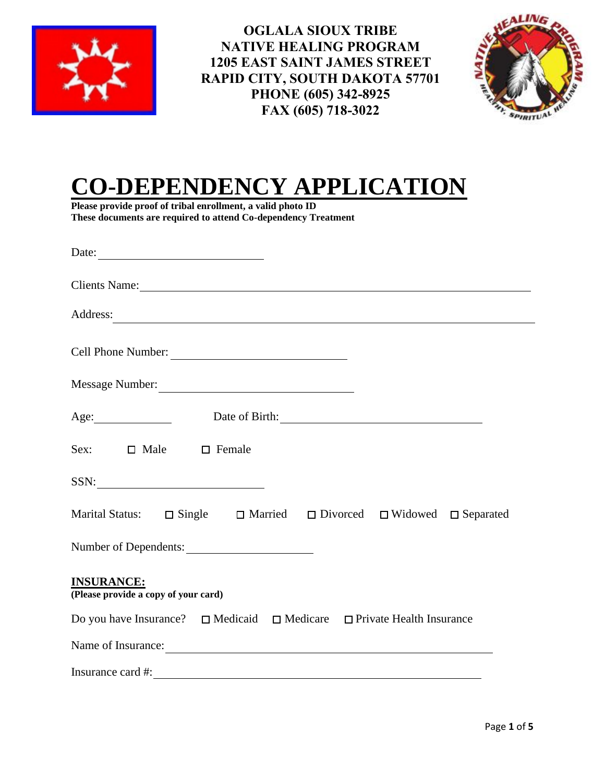

**OGLALA SIOUX TRIBE NATIVE HEALING PROGRAM 1205 EAST SAINT JAMES STREET RAPID CITY, SOUTH DAKOTA 57701 PHONE (605) 342-8925 FAX (605) 718-3022**



# **CO-DEPENDENCY APPLICATION**

**Please provide proof of tribal enrollment, a valid photo ID These documents are required to attend Co-dependency Treatment**

| Address:                                                                                                                                                                                                                                                                                                          |
|-------------------------------------------------------------------------------------------------------------------------------------------------------------------------------------------------------------------------------------------------------------------------------------------------------------------|
| Cell Phone Number:                                                                                                                                                                                                                                                                                                |
|                                                                                                                                                                                                                                                                                                                   |
| Age: Date of Birth: 2008 Date of Birth:                                                                                                                                                                                                                                                                           |
| Sex: $\Box$ Male $\Box$ Female                                                                                                                                                                                                                                                                                    |
| $SSN: \begin{tabular}{ c c c c } \hline \quad \quad & \quad & \quad \quad & \quad \quad \\ \hline \end{tabular}$                                                                                                                                                                                                  |
| Marital Status: $\Box$ Single $\Box$ Married $\Box$ Divorced $\Box$ Widowed $\Box$ Separated                                                                                                                                                                                                                      |
| Number of Dependents:                                                                                                                                                                                                                                                                                             |
| <b>INSURANCE:</b><br>(Please provide a copy of your card)                                                                                                                                                                                                                                                         |
| Do you have Insurance? $\Box$ Medicaid $\Box$ Medicare $\Box$ Private Health Insurance                                                                                                                                                                                                                            |
| Name of Insurance:                                                                                                                                                                                                                                                                                                |
| Insurance card #: $\frac{1}{2}$ $\frac{1}{2}$ $\frac{1}{2}$ $\frac{1}{2}$ $\frac{1}{2}$ $\frac{1}{2}$ $\frac{1}{2}$ $\frac{1}{2}$ $\frac{1}{2}$ $\frac{1}{2}$ $\frac{1}{2}$ $\frac{1}{2}$ $\frac{1}{2}$ $\frac{1}{2}$ $\frac{1}{2}$ $\frac{1}{2}$ $\frac{1}{2}$ $\frac{1}{2}$ $\frac{1}{2}$ $\frac{1}{2}$ $\frac$ |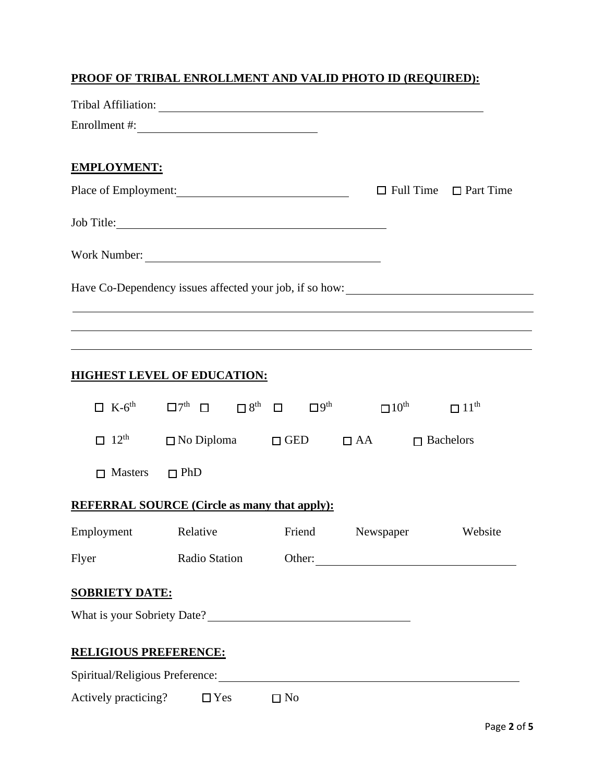## **PROOF OF TRIBAL ENROLLMENT AND VALID PHOTO ID (REQUIRED):**

| <b>EMPLOYMENT:</b>           |                                                     |           |                                                                                                                                                                                                           |  |
|------------------------------|-----------------------------------------------------|-----------|-----------------------------------------------------------------------------------------------------------------------------------------------------------------------------------------------------------|--|
|                              |                                                     |           | Place of Employment: $\Box$ Full Time $\Box$ Part Time                                                                                                                                                    |  |
|                              | Job Title:                                          |           |                                                                                                                                                                                                           |  |
|                              | Work Number:                                        |           |                                                                                                                                                                                                           |  |
|                              |                                                     |           | Have Co-Dependency issues affected your job, if so how: _________________________                                                                                                                         |  |
|                              |                                                     |           |                                                                                                                                                                                                           |  |
|                              |                                                     |           | ,我们也不会有什么。""我们的人,我们也不会有什么?""我们的人,我们也不会有什么?""我们的人,我们也不会有什么?""我们的人,我们也不会有什么?""我们的人<br><u> 1989 - Johann Stoff, deutscher Stoff, der Stoff, der Stoff, der Stoff, der Stoff, der Stoff, der Stoff, der S</u> |  |
|                              | <b>HIGHEST LEVEL OF EDUCATION:</b>                  |           |                                                                                                                                                                                                           |  |
|                              |                                                     |           | $\Box$ K-6 <sup>th</sup> $\Box$ $\Box$ <sup>7th</sup> $\Box$ $\Box$ $\Box$ <sup>8th</sup> $\Box$ $\Box$ <sup>9th</sup> $\Box$ $\Box$ $11$ <sup>th</sup> $\Box$ $11$ <sup>th</sup>                         |  |
|                              |                                                     |           | $\Box$ 12 <sup>th</sup> $\Box$ No Diploma $\Box$ GED $\Box$ AA $\Box$ Bachelors                                                                                                                           |  |
| $\Box$ Masters $\Box$ PhD    |                                                     |           |                                                                                                                                                                                                           |  |
|                              | <b>REFERRAL SOURCE (Circle as many that apply):</b> |           |                                                                                                                                                                                                           |  |
|                              |                                                     |           | Employment Relative Friend Newspaper Website                                                                                                                                                              |  |
| Flyer                        | Radio Station                                       |           | Other:                                                                                                                                                                                                    |  |
| <b>SOBRIETY DATE:</b>        |                                                     |           |                                                                                                                                                                                                           |  |
|                              |                                                     |           |                                                                                                                                                                                                           |  |
| <b>RELIGIOUS PREFERENCE:</b> |                                                     |           |                                                                                                                                                                                                           |  |
|                              |                                                     |           |                                                                                                                                                                                                           |  |
|                              | Actively practicing? $\Box$ Yes                     | $\Box$ No |                                                                                                                                                                                                           |  |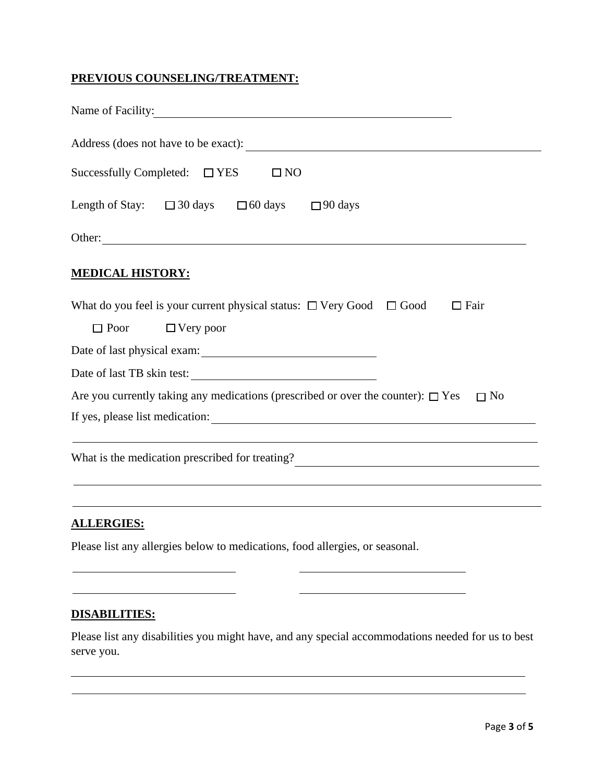### **PREVIOUS COUNSELING/TREATMENT:**

| Name of Facility:                                                                                  |
|----------------------------------------------------------------------------------------------------|
|                                                                                                    |
| Successfully Completed: $\Box$ YES<br>$\square$ NO                                                 |
| Length of Stay: $\Box$ 30 days $\Box$ 60 days $\Box$ 90 days                                       |
|                                                                                                    |
| <b>MEDICAL HISTORY:</b>                                                                            |
| What do you feel is your current physical status: $\Box$ Very Good $\Box$ Good<br>$\Box$ Fair      |
| $\Box$ Poor<br>$\Box$ Very poor                                                                    |
|                                                                                                    |
| Date of last TB skin test:                                                                         |
| Are you currently taking any medications (prescribed or over the counter): $\Box$ Yes<br>$\Box$ No |
| If yes, please list medication:                                                                    |
|                                                                                                    |
| What is the medication prescribed for treating?<br><u> </u>                                        |
|                                                                                                    |
|                                                                                                    |

## **ALLERGIES:**

Please list any allergies below to medications, food allergies, or seasonal.

#### **DISABILITIES:**

Please list any disabilities you might have, and any special accommodations needed for us to best serve you.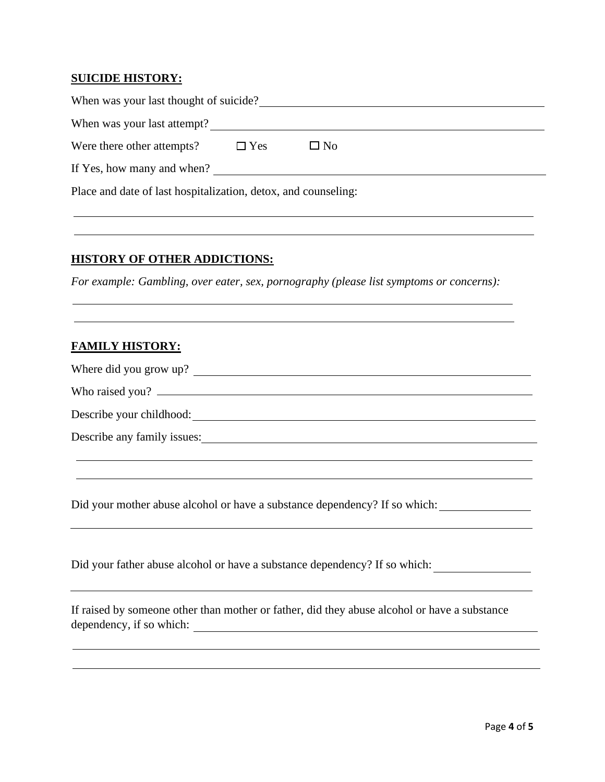#### **SUICIDE HISTORY:**

| When was your last thought of suicide?                         |            |           |  |  |  |
|----------------------------------------------------------------|------------|-----------|--|--|--|
| When was your last attempt?                                    |            |           |  |  |  |
| Were there other attempts?                                     | $\Box$ Yes | $\Box$ No |  |  |  |
| If Yes, how many and when?                                     |            |           |  |  |  |
| Place and date of last hospitalization, detox, and counseling: |            |           |  |  |  |

#### **HISTORY OF OTHER ADDICTIONS:**

*For example: Gambling, over eater, sex, pornography (please list symptoms or concerns):* 

#### **FAMILY HISTORY:**

| Where did you grow up? |  |
|------------------------|--|
|                        |  |

Who raised you?

Describe your childhood: <u>contact the contact of the set of the contact of the contact of the contact of the contact of the contact of the contact of the contact of the contact of the contact of the contact of the contact </u>

Describe any family issues:

Did your mother abuse alcohol or have a substance dependency? If so which:

Did your father abuse alcohol or have a substance dependency? If so which:

If raised by someone other than mother or father, did they abuse alcohol or have a substance dependency, if so which: